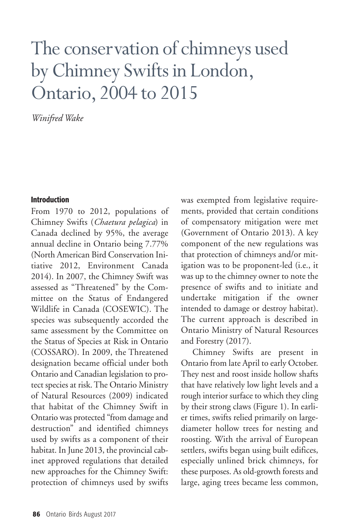# The conservation of chimneys used by Chimney Swifts in London, Ontario,2004 to 2015

*Winifred Wake*

### **Introduction**

From 1970 to 2012, populations of Chimney Swifts (*Chaetura pelagica*) in Canada declined by 95%, the average annual decline in Ontario being 7.77% (North American Bird Conservation Initiative 2012, Environment Canada 2014). In 2007, the Chimney Swift was assessed as "Threatened" by the Committee on the Status of Endangered Wildlife in Canada (COSEWIC). The species was subsequently accorded the same assessment by the Committee on the Status of Species at Risk in Ontario (COSSARO). In 2009, the Threatened designation became official under both Ontario and Canadian legislation to protect species at risk.The Ontario Ministry of Natural Resources (2009) indicated that habitat of the Chimney Swift in Ontario was protected "from damage and destruction" and identified chimneys used by swifts as a component of their habitat. In June 2013, the provincial cabinet approved regulations that detailed new approaches for the Chimney Swift: protection of chimneys used by swifts

was exempted from legislative requirements, provided that certain conditions of compensatory mitigation were met (Government of Ontario 2013). A key component of the new regulations was that protection of chimneys and/or mitigation was to be proponent-led (i.e., it was up to the chimney owner to note the presence of swifts and to initiate and undertake mitigation if the owner intended to damage or destroy habitat). The current approach is described in Ontario Ministry of Natural Resources and Forestry (2017).

Chimney Swifts are present in Ontario from late April to early October. They nest and roost inside hollow shafts that have relatively low light levels and a rough interior surface to which they cling by their strong claws (Figure 1). In earlier times, swifts relied primarily on largediameter hollow trees for nesting and roosting. With the arrival of European settlers, swifts began using built edifices, especially unlined brick chimneys, for these purposes. As old-growth forests and large, aging trees became less common,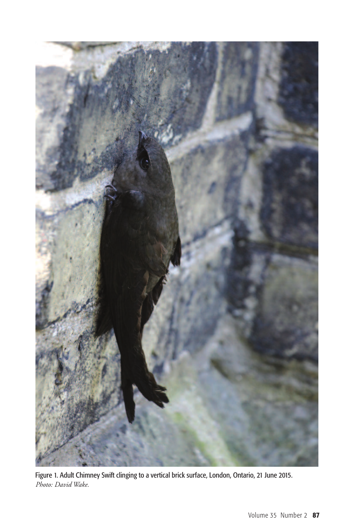

Figure 1. Adult Chimney Swift clinging to a vertical brick surface, London, Ontario, 21 June 2015. *Photo: David Wake.*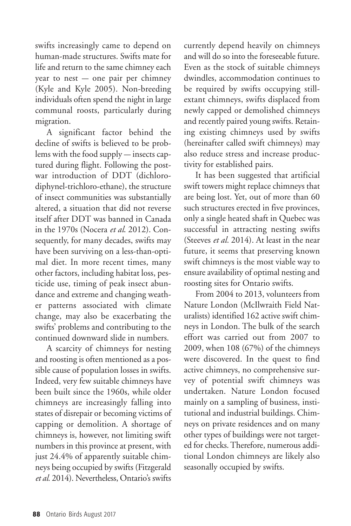swifts increasingly came to depend on human-made structures. Swifts mate for life and return to the same chimney each year to nest — one pair per chimney (Kyle and Kyle 2005). Non-breeding individuals often spend the night in large communal roosts, particularly during migration.

A significant factor behind the decline of swifts is believed to be problems with the food supply — insects captured during flight. Following the postwar introduction of DDT (dichlorodiphynel-trichloro-ethane), the structure of insect communities was substantially altered, a situation that did not reverse itself after DDT was banned in Canada in the 1970s (Nocera *et al*. 2012). Consequently, for many decades, swifts may have been surviving on a less-than-optimal diet. In more recent times, many other factors, including habitat loss, pesticide use, timing of peak insect abundance and extreme and changing weather patterns associated with climate change, may also be exacerbating the swifts' problems and contributing to the continued downward slide in numbers.

A scarcity of chimneys for nesting and roosting is often mentioned as a possible cause of population losses in swifts. Indeed, very few suitable chimneys have been built since the 1960s, while older chimneys are increasingly falling into states of disrepair or becoming victims of capping or demolition. A shortage of chimneys is, however, not limiting swift numbers in this province at present, with just 24.4% of apparently suitable chimneys being occupied by swifts (Fitzgerald *et al.* 2014). Nevertheless, Ontario's swifts

currently depend heavily on chimneys and will do so into the foreseeable future. Even as the stock of suitable chimneys dwindles, accommodation continues to be required by swifts occupying stillextant chimneys, swifts displaced from newly capped or demolished chimneys and recently paired young swifts. Retaining existing chimneys used by swifts (hereinafter called swift chimneys) may also reduce stress and increase productivity for established pairs.

It has been suggested that artificial swift towers might replace chimneys that are being lost. Yet, out of more than 60 such structures erected in five provinces, only a single heated shaft in Quebec was successful in attracting nesting swifts (Steeves *et al.* 2014). At least in the near future, it seems that preserving known swift chimneys is the most viable way to ensure availability of optimal nesting and roosting sites for Ontario swifts.

From 2004 to 2013, volunteers from Nature London (McIlwraith Field Naturalists) identified 162 active swift chimneys in London. The bulk of the search effort was carried out from 2007 to 2009, when 108 (67%) of the chimneys were discovered. In the quest to find active chimneys, no comprehensive survey of potential swift chimneys was undertaken. Nature London focused mainly on a sampling of business, institutional and industrial buildings. Chimneys on private residences and on many other types of buildings were not targeted for checks.Therefore, numerous additional London chimneys are likely also seasonally occupied by swifts.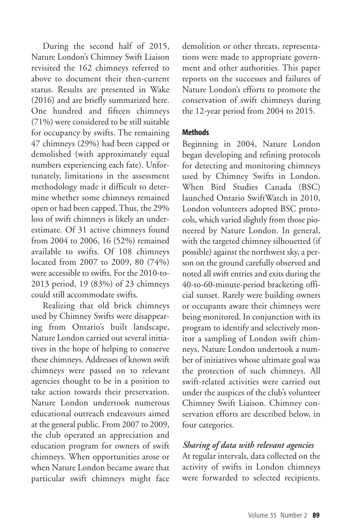During the second half of 2015, Nature London's Chimney Swift Liaison revisited the 162 chimneys referred to above to document their then-current status. Results are presented in Wake (2016) and are briefly summarized here. One hundred and fifteen chimneys (71%) were considered to be still suitable for occupancy by swifts. The remaining 47 chimneys (29%) had been capped or demolished (with approximately equal numbers experiencing each fate). Unfortunately, limitations in the assessment methodology made it difficult to determine whether some chimneys remained open or had been capped.Thus, the 29% loss of swift chimneys is likely an underestimate. Of 31 active chimneys found from 2004 to 2006, 16 (52%) remained available to swifts. Of 108 chimneys located from 2007 to 2009, 80 (74%) were accessible to swifts. For the 2010-to-2013 period, 19 (83%) of 23 chimneys could still accommodate swifts.

Realizing that old brick chimneys used by Chimney Swifts were disappearing from Ontario's built landscape, Nature London carried out several initiatives in the hope of helping to conserve these chimneys. Addresses of known swift chimneys were passed on to relevant agencies thought to be in a position to take action towards their preservation. Nature London undertook numerous educational outreach endeavours aimed at the general public. From 2007 to 2009, the club operated an appreciation and education program for owners of swift chimneys. When opportunities arose or when Nature London became aware that particular swift chimneys might face

demolition or other threats, representations were made to appropriate government and other authorities. This paper reports on the successes and failures of Nature London's efforts to promote the conservation of swift chimneys during the 12-year period from 2004 to 2015.

## **Methods**

Beginning in 2004, Nature London began developing and refining protocols for detecting and monitoring chimneys used by Chimney Swifts in London. When Bird Studies Canada (BSC) launched Ontario SwiftWatch in 2010, London volunteers adopted BSC protocols, which varied slightly from those pioneered by Nature London. In general, with the targeted chimney silhouetted (if possible) against the northwest sky, a person on the ground carefully observed and noted all swift entries and exits during the 40-to-60-minute-period bracketing official sunset. Rarely were building owners or occupants aware their chimneys were being monitored. In conjunction with its program to identify and selectively monitor a sampling of London swift chimneys, Nature London undertook a number of initiatives whose ultimate goal was the protection of such chimneys. All swift-related activities were carried out under the auspices of the club's volunteer Chimney Swift Liaison. Chimney conservation efforts are described below, in four categories.

## *Sharing of data with relevant agencies*

At regular intervals, data collected on the activity of swifts in London chimneys were forwarded to selected recipients.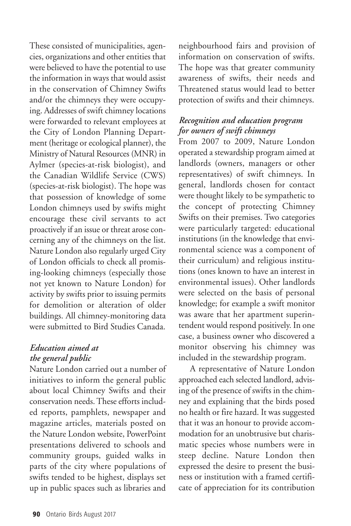These consisted of municipalities, agencies, organizations and other entities that were believed to have the potential to use the information in ways that would assist in the conservation of Chimney Swifts and/or the chimneys they were occupying. Addresses of swift chimney locations were forwarded to relevant employees at the City of London Planning Department (heritage or ecological planner), the Ministry of Natural Resources (MNR) in Aylmer (species-at-risk biologist), and the Canadian Wildlife Service (CWS) (species-at-risk biologist). The hope was that possession of knowledge of some London chimneys used by swifts might encourage these civil servants to act proactively if an issue or threat arose concerning any of the chimneys on the list. Nature London also regularly urged City of London officials to check all promising-looking chimneys (especially those not yet known to Nature London) for activity by swifts prior to issuing permits for demolition or alteration of older buildings. All chimney-monitoring data were submitted to Bird Studies Canada.

# *Education aimed at the general public*

Nature London carried out a number of initiatives to inform the general public about local Chimney Swifts and their conservation needs.These efforts included reports, pamphlets, newspaper and magazine articles, materials posted on the Nature London website, PowerPoint presentations delivered to schools and community groups, guided walks in parts of the city where populations of swifts tended to be highest, displays set up in public spaces such as libraries and

neighbourhood fairs and provision of information on conservation of swifts. The hope was that greater community awareness of swifts, their needs and Threatened status would lead to better protection of swifts and their chimneys.

# *Recognition and education program for owners of swift chimneys*

From 2007 to 2009, Nature London operated a stewardship program aimed at landlords (owners, managers or other representatives) of swift chimneys. In general, landlords chosen for contact were thought likely to be sympathetic to the concept of protecting Chimney Swifts on their premises. Two categories were particularly targeted: educational institutions (in the knowledge that environmental science was a component of their curriculum) and religious institutions (ones known to have an interest in environmental issues). Other landlords were selected on the basis of personal knowledge; for example a swift monitor was aware that her apartment superintendent would respond positively. In one case, a business owner who discovered a monitor observing his chimney was included in the stewardship program.

A representative of Nature London approached each selected landlord, advising of the presence of swifts in the chimney and explaining that the birds posed no health or fire hazard. It was suggested that it was an honour to provide accommodation for an unobtrusive but charismatic species whose numbers were in steep decline. Nature London then expressed the desire to present the business or institution with a framed certificate of appreciation for its contribution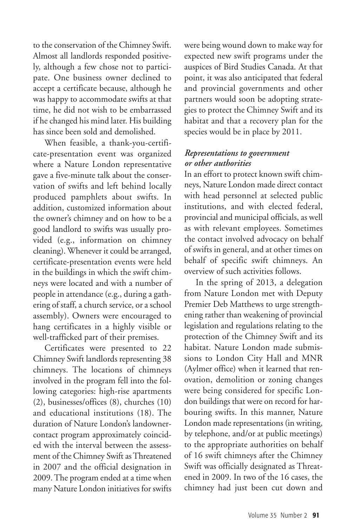to the conservation of the Chimney Swift. Almost all landlords responded positively, although a few chose not to participate. One business owner declined to accept a certificate because, although he was happy to accommodate swifts at that time, he did not wish to be embarrassed if he changed his mind later. His building has since been sold and demolished.

When feasible, a thank-you-certificate-presentation event was organized where a Nature London representative gave a five-minute talk about the conservation of swifts and left behind locally produced pamphlets about swifts. In addition, customized information about the owner's chimney and on how to be a good landlord to swifts was usually provided (e.g., information on chimney cleaning). Whenever it could be arranged, certificate-presentation events were held in the buildings in which the swift chimneys were located and with a number of people in attendance (e.g., during a gathering of staff, a church service, or a school assembly). Owners were encouraged to hang certificates in a highly visible or well-trafficked part of their premises.

Certificates were presented to 22 Chimney Swift landlords representing 38 chimneys. The locations of chimneys involved in the program fell into the following categories: high-rise apartments (2), businesses/offices (8), churches (10) and educational institutions (18). The duration of Nature London's landownercontact program approximately coincided with the interval between the assessment of the Chimney Swift as Threatened in 2007 and the official designation in 2009.The program ended at a time when many Nature London initiatives for swifts were being wound down to make way for expected new swift programs under the auspices of Bird Studies Canada. At that point, it was also anticipated that federal and provincial governments and other partners would soon be adopting strategies to protect the Chimney Swift and its habitat and that a recovery plan for the species would be in place by 2011.

## *Representations to government or other authorities*

In an effort to protect known swift chimneys, Nature London made direct contact with head personnel at selected public institutions, and with elected federal, provincial and municipal officials, as well as with relevant employees. Sometimes the contact involved advocacy on behalf of swifts in general, and at other times on behalf of specific swift chimneys. An overview of such activities follows.

In the spring of 2013, a delegation from Nature London met with Deputy Premier Deb Matthews to urge strengthening rather than weakening of provincial legislation and regulations relating to the protection of the Chimney Swift and its habitat. Nature London made submissions to London City Hall and MNR (Aylmer office) when it learned that renovation, demolition or zoning changes were being considered for specific London buildings that were on record for harbouring swifts. In this manner, Nature London made representations (in writing, by telephone, and/or at public meetings) to the appropriate authorities on behalf of 16 swift chimneys after the Chimney Swift was officially designated as Threatened in 2009. In two of the 16 cases, the chimney had just been cut down and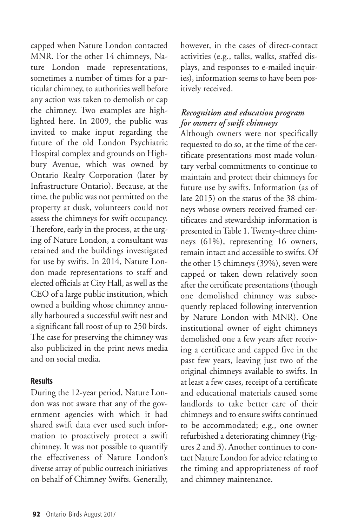capped when Nature London contacted MNR. For the other 14 chimneys, Nature London made representations, sometimes a number of times for a particular chimney, to authorities well before any action was taken to demolish or cap the chimney. Two examples are highlighted here. In 2009, the public was invited to make input regarding the future of the old London Psychiatric Hospital complex and grounds on Highbury Avenue, which was owned by Ontario Realty Corporation (later by Infrastructure Ontario). Because, at the time, the public was not permitted on the property at dusk, volunteers could not assess the chimneys for swift occupancy. Therefore, early in the process, at the urging of Nature London, a consultant was retained and the buildings investigated for use by swifts. In 2014, Nature London made representations to staff and elected officials at City Hall, as well as the CEO of a large public institution, which owned a building whose chimney annually harboured a successful swift nest and a significant fall roost of up to 250 birds. The case for preserving the chimney was also publicized in the print news media and on social media.

## **Results**

During the 12-year period, Nature London was not aware that any of the government agencies with which it had shared swift data ever used such information to proactively protect a swift chimney. It was not possible to quantify the effectiveness of Nature London's diverse array of public outreach initiatives on behalf of Chimney Swifts. Generally,

however, in the cases of direct-contact activities (e.g., talks, walks, staffed displays, and responses to e-mailed inquiries), information seems to have been positively received.

## *Recognition and education program for owners of swift chimneys*

Although owners were not specifically requested to do so, at the time of the certificate presentations most made voluntary verbal commitments to continue to maintain and protect their chimneys for future use by swifts. Information (as of late 2015) on the status of the 38 chimneys whose owners received framed certificates and stewardship information is presented inTable 1.Twenty-three chimneys (61%), representing 16 owners, remain intact and accessible to swifts. Of the other 15 chimneys (39%), seven were capped or taken down relatively soon after the certificate presentations (though one demolished chimney was subsequently replaced following intervention by Nature London with MNR). One institutional owner of eight chimneys demolished one a few years after receiving a certificate and capped five in the past few years, leaving just two of the original chimneys available to swifts. In at least a few cases, receipt of a certificate and educational materials caused some landlords to take better care of their chimneys and to ensure swifts continued to be accommodated; e.g., one owner refurbished a deteriorating chimney (Figures 2 and 3). Another continues to contact Nature London for advice relating to the timing and appropriateness of roof and chimney maintenance.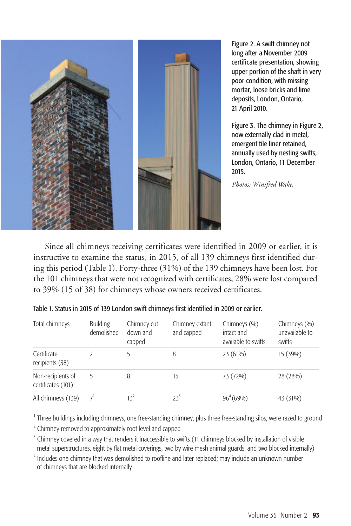

Figure 2. A swift chimney not long after a November 2009 certificate presentation, showing upper portion of the shaft in very poor condition, with missing mortar, loose bricks and lime deposits, London, Ontario, 21 April 2010.

Figure 3. The chimney in Figure 2, now externally clad in metal, emergent tile liner retained, annually used by nesting swifts, London, Ontario, 11 December 2015.

*Photos: Winifred Wake*.

Since all chimneys receiving certificates were identified in 2009 or earlier, it is instructive to examine the status, in 2015, of all 139 chimneys first identified during this period (Table 1). Forty-three (31%) of the 139 chimneys have been lost. For the 101 chimneys that were not recognized with certificates, 28% were lost compared to 39% (15 of 38) for chimneys whose owners received certificates.

| Total chimneys                          | <b>Building</b><br>demolished | Chimney cut<br>down and<br>capped | Chimney extant<br>and capped | Chimneys (%)<br>intact and<br>available to swifts | Chimneys (%)<br>unavailable to<br>swifts |
|-----------------------------------------|-------------------------------|-----------------------------------|------------------------------|---------------------------------------------------|------------------------------------------|
| Certificate<br>recipients (38)          |                               |                                   | 8                            | 23 (61%)                                          | 15 (39%)                                 |
| Non-recipients of<br>certificates (101) |                               | 8                                 | 15                           | 73 (72%)                                          | 28 (28%)                                 |
| All chimneys (139)                      | 7'                            | $13^2$                            | $23^3$                       | $96^{4}(69%)$                                     | 43 (31%)                                 |

| Table 1. Status in 2015 of 139 London swift chimneys first identified in 2009 or earlier. |  |
|-------------------------------------------------------------------------------------------|--|
|-------------------------------------------------------------------------------------------|--|

<sup>1</sup> Three buildings including chimneys, one free-standing chimney, plus three free-standing silos, were razed to ground

<sup>2</sup> Chimney removed to approximately roof level and capped

<sup>3</sup> Chimney covered in a way that renders it inaccessible to swifts (11 chimneys blocked by installation of visible metal superstructures, eight by flat metal coverings, two by wire mesh animal guards, and two blocked internally)

<sup>4</sup> Includes one chimney that was demolished to roofline and later replaced; may include an unknown number of chimneys that are blocked internally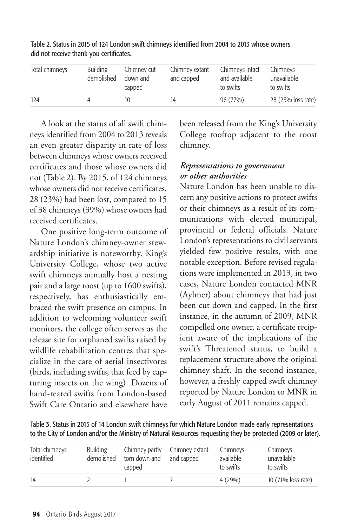| Total chimneys | <b>Building</b><br>demolished | Chimney cut<br>down and<br>capped | Chimney extant<br>and capped | Chimneys intact<br>and available<br>to swifts | Chimneys<br>unavailable<br>to swifts |
|----------------|-------------------------------|-----------------------------------|------------------------------|-----------------------------------------------|--------------------------------------|
| 124            |                               |                                   | 14                           | 96 (77%)                                      | 28 (23% loss rate)                   |

Table 2. Status in 2015 of 124 London swift chimneys identified from 2004 to 2013 whose owners did not receive thank-you certificates.

A look at the status of all swift chimneys identified from 2004 to 2013 reveals an even greater disparity in rate of loss between chimneys whose owners received certificates and those whose owners did not (Table 2). By 2015, of 124 chimneys whose owners did not receive certificates, 28 (23%) had been lost, compared to 15 of 38 chimneys (39%) whose owners had received certificates.

One positive long-term outcome of Nature London's chimney-owner stewardship initiative is noteworthy. King's University College, whose two active swift chimneys annually host a nesting pair and a large roost (up to 1600 swifts), respectively, has enthusiastically embraced the swift presence on campus. In addition to welcoming volunteer swift monitors, the college often serves as the release site for orphaned swifts raised by wildlife rehabilitation centres that specialize in the care of aerial insectivores (birds, including swifts, that feed by capturing insects on the wing). Dozens of hand-reared swifts from London-based Swift Care Ontario and elsewhere have

been released from the King's University College rooftop adjacent to the roost chimney.

# *Representations to government or other authorities*

Nature London has been unable to discern any positive actions to protect swifts or their chimneys as a result of its communications with elected municipal, provincial or federal officials. Nature London's representations to civil servants yielded few positive results, with one notable exception. Before revised regulations were implemented in 2013, in two cases, Nature London contacted MNR (Aylmer) about chimneys that had just been cut down and capped. In the first instance, in the autumn of 2009, MNR compelled one owner, a certificate recipient aware of the implications of the swift's Threatened status, to build a replacement structure above the original chimney shaft. In the second instance, however, a freshly capped swift chimney reported by Nature London to MNR in early August of 2011 remains capped.

Table 3. Status in 2015 of 14 London swift chimneys for which Nature London made early representations to the City of London and/or the Ministry of Natural Resources requesting they be protected (2009 or later).

| Total chimneys<br>identified | <b>Building</b><br>demolished | torn down and<br>capped | Chimney partly Chimney extant<br>and capped | Chimneys<br>available<br>to swifts | Chimneys<br>unavailable<br>to swifts |
|------------------------------|-------------------------------|-------------------------|---------------------------------------------|------------------------------------|--------------------------------------|
| 14                           |                               |                         |                                             | $4(29\%)$                          | 10 (71% loss rate)                   |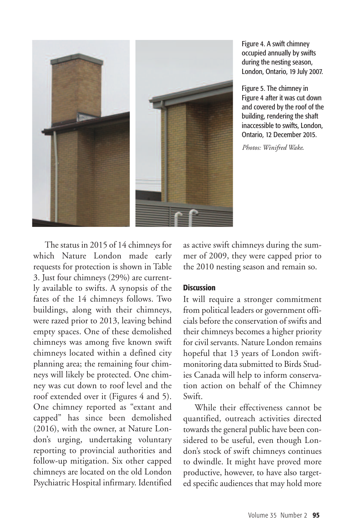

Figure 4. A swift chimney occupied annually by swifts during the nesting season, London, Ontario, 19 July 2007.

Figure 5. The chimney in Figure 4 after it was cut down and covered by the roof of the building, rendering the shaft inaccessible to swifts, London, Ontario, 12 December 2015.

*Photos: Winifred Wake*.

The status in 2015 of 14 chimneys for which Nature London made early requests for protection is shown in Table 3. Just four chimneys (29%) are currently available to swifts. A synopsis of the fates of the 14 chimneys follows. Two buildings, along with their chimneys, were razed prior to 2013, leaving behind empty spaces. One of these demolished chimneys was among five known swift chimneys located within a defined city planning area; the remaining four chimneys will likely be protected. One chimney was cut down to roof level and the roof extended over it (Figures 4 and 5). One chimney reported as "extant and capped" has since been demolished (2016), with the owner, at Nature London's urging, undertaking voluntary reporting to provincial authorities and follow-up mitigation. Six other capped chimneys are located on the old London Psychiatric Hospital infirmary. Identified as active swift chimneys during the summer of 2009, they were capped prior to the 2010 nesting season and remain so.

## **Discussion**

It will require a stronger commitment from political leaders or government officials before the conservation of swifts and their chimneys becomes a higher priority for civil servants. Nature London remains hopeful that 13 years of London swiftmonitoring data submitted to Birds Studies Canada will help to inform conservation action on behalf of the Chimney Swift.

While their effectiveness cannot be quantified, outreach activities directed towards the general public have been considered to be useful, even though London's stock of swift chimneys continues to dwindle. It might have proved more productive, however, to have also targeted specific audiences that may hold more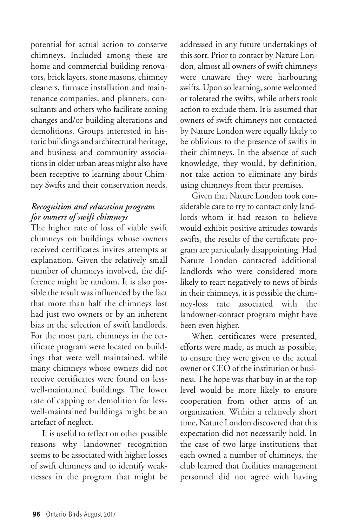potential for actual action to conserve chimneys. Included among these are home and commercial building renovators, brick layers, stone masons, chimney cleaners, furnace installation and maintenance companies, and planners, consultants and others who facilitate zoning changes and/or building alterations and demolitions. Groups interested in historic buildings and architectural heritage, and business and community associations in older urban areas might also have been receptive to learning about Chimney Swifts and their conservation needs.

# *Recognition and education program for owners of swift chimneys*

The higher rate of loss of viable swift chimneys on buildings whose owners received certificates invites attempts at explanation. Given the relatively small number of chimneys involved, the difference might be random. It is also possible the result was influenced by the fact that more than half the chimneys lost had just two owners or by an inherent bias in the selection of swift landlords. For the most part, chimneys in the certificate program were located on buildings that were well maintained, while many chimneys whose owners did not receive certificates were found on lesswell-maintained buildings. The lower rate of capping or demolition for lesswell-maintained buildings might be an artefact of neglect.

It is useful to reflect on other possible reasons why landowner recognition seems to be associated with higher losses of swift chimneys and to identify weaknesses in the program that might be addressed in any future undertakings of this sort. Prior to contact by Nature London, almost all owners of swift chimneys were unaware they were harbouring swifts. Upon so learning, some welcomed or tolerated the swifts, while others took action to exclude them. It is assumed that owners of swift chimneys not contacted by Nature London were equally likely to be oblivious to the presence of swifts in their chimneys. In the absence of such knowledge, they would, by definition, not take action to eliminate any birds using chimneys from their premises.

Given that Nature London took considerable care to try to contact only landlords whom it had reason to believe would exhibit positive attitudes towards swifts, the results of the certificate program are particularly disappointing. Had Nature London contacted additional landlords who were considered more likely to react negatively to news of birds in their chimneys, it is possible the chimney-loss rate associated with the landowner-contact program might have been even higher.

When certificates were presented, efforts were made, as much as possible, to ensure they were given to the actual owner or CEO of the institution or business.The hope was that buy-in at the top level would be more likely to ensure cooperation from other arms of an organization. Within a relatively short time, Nature London discovered that this expectation did not necessarily hold. In the case of two large institutions that each owned a number of chimneys, the club learned that facilities management personnel did not agree with having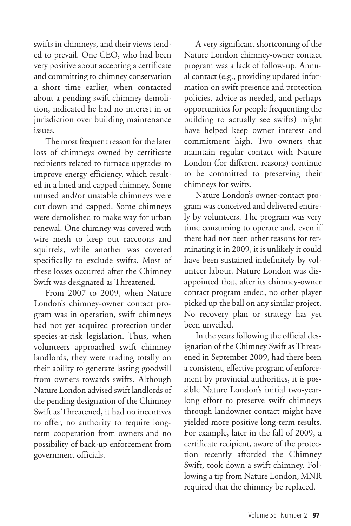swifts in chimneys, and their views tended to prevail. One CEO, who had been very positive about accepting a certificate and committing to chimney conservation a short time earlier, when contacted about a pending swift chimney demolition, indicated he had no interest in or jurisdiction over building maintenance issues.

The most frequent reason for the later loss of chimneys owned by certificate recipients related to furnace upgrades to improve energy efficiency, which resulted in a lined and capped chimney. Some unused and/or unstable chimneys were cut down and capped. Some chimneys were demolished to make way for urban renewal. One chimney was covered with wire mesh to keep out raccoons and squirrels, while another was covered specifically to exclude swifts. Most of these losses occurred after the Chimney Swift was designated as Threatened.

From 2007 to 2009, when Nature London's chimney-owner contact program was in operation, swift chimneys had not yet acquired protection under species-at-risk legislation. Thus, when volunteers approached swift chimney landlords, they were trading totally on their ability to generate lasting goodwill from owners towards swifts. Although Nature London advised swift landlords of the pending designation of the Chimney Swift as Threatened, it had no incentives to offer, no authority to require longterm cooperation from owners and no possibility of back-up enforcement from government officials.

A very significant shortcoming of the Nature London chimney-owner contact program was a lack of follow-up. Annual contact (e.g., providing updated information on swift presence and protection policies, advice as needed, and perhaps opportunities for people frequenting the building to actually see swifts) might have helped keep owner interest and commitment high. Two owners that maintain regular contact with Nature London (for different reasons) continue to be committed to preserving their chimneys for swifts.

Nature London's owner-contact program was conceived and delivered entirely by volunteers. The program was very time consuming to operate and, even if there had not been other reasons for terminating it in 2009, it is unlikely it could have been sustained indefinitely by volunteer labour. Nature London was disappointed that, after its chimney-owner contact program ended, no other player picked up the ball on any similar project. No recovery plan or strategy has yet been unveiled.

In the years following the official designation of the Chimney Swift as Threatened in September 2009, had there been a consistent, effective program of enforcement by provincial authorities, it is possible Nature London's initial two-yearlong effort to preserve swift chimneys through landowner contact might have yielded more positive long-term results. For example, later in the fall of 2009, a certificate recipient, aware of the protection recently afforded the Chimney Swift, took down a swift chimney. Following a tip from Nature London, MNR required that the chimney be replaced.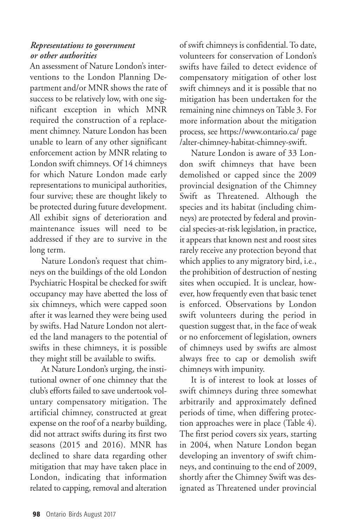## *Representations to government or other authorities*

An assessment of Nature London's interventions to the London Planning Department and/or MNR shows the rate of success to be relatively low, with one significant exception in which MNR required the construction of a replacement chimney. Nature London has been unable to learn of any other significant enforcement action by MNR relating to London swift chimneys. Of 14 chimneys for which Nature London made early representations to municipal authorities, four survive; these are thought likely to be protected during future development. All exhibit signs of deterioration and maintenance issues will need to be addressed if they are to survive in the long term.

Nature London's request that chimneys on the buildings of the old London Psychiatric Hospital be checked for swift occupancy may have abetted the loss of six chimneys, which were capped soon after it was learned they were being used by swifts. Had Nature London not alerted the land managers to the potential of swifts in these chimneys, it is possible they might still be available to swifts.

At Nature London's urging, the institutional owner of one chimney that the club'sefforts failed to save undertook voluntary compensatory mitigation. The artificial chimney, constructed at great expense on the roof of a nearby building, did not attract swifts during its first two seasons (2015 and 2016). MNR has declined to share data regarding other mitigation that may have taken place in London, indicating that information related to capping, removal and alteration of swift chimneys is confidential.To date, volunteers for conservation of London's swifts have failed to detect evidence of compensatory mitigation of other lost swift chimneys and it is possible that no mitigation has been undertaken for the remaining nine chimneys onTable 3. For more information about the mitigation process, see https://www.ontario.ca/ page /alter-chimney-habitat-chimney-swift.

Nature London is aware of 33 London swift chimneys that have been demolished or capped since the 2009 provincial designation of the Chimney Swift as Threatened. Although the species and its habitat (including chimneys) are protected by federal and provincial species-at-risk legislation, in practice, it appears that known nest and roost sites rarely receive any protection beyond that which applies to any migratory bird, i.e., the prohibition of destruction of nesting sites when occupied. It is unclear, however, how frequently even that basic tenet is enforced. Observations by London swift volunteers during the period in question suggest that, in the face of weak or no enforcement of legislation, owners of chimneys used by swifts are almost always free to cap or demolish swift chimneys with impunity.

It is of interest to look at losses of swift chimneys during three somewhat arbitrarily and approximately defined periods of time, when differing protection approaches were in place (Table 4). The first period covers six years, starting in 2004, when Nature London began developing an inventory of swift chimneys, and continuing to the end of 2009, shortly after the Chimney Swift was designated as Threatened under provincial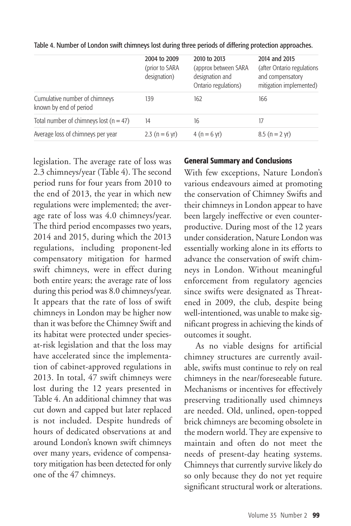|                                                         | 2004 to 2009<br>(prior to SARA<br>designation) | 2010 to 2013<br>(approx between SARA<br>designation and<br>Ontario regulations) | 2014 and 2015<br>(after Ontario regulations<br>and compensatory<br>mitigation implemented) |
|---------------------------------------------------------|------------------------------------------------|---------------------------------------------------------------------------------|--------------------------------------------------------------------------------------------|
| Cumulative number of chimneys<br>known by end of period | 139                                            | 162                                                                             | 166                                                                                        |
| Total number of chimneys lost $(n = 47)$                | 14                                             | 16                                                                              | 17                                                                                         |
| Average loss of chimneys per year                       | 2.3 ( $n = 6$ yr)                              | $4(n = 6 \text{ yr})$                                                           | $8.5(n = 2 yr)$                                                                            |

Table 4. Number of London swift chimneys lost during three periods of differing protection approaches.

legislation. The average rate of loss was 2.3 chimneys/year (Table 4). The second period runs for four years from 2010 to the end of 2013, the year in which new regulations were implemented; the average rate of loss was 4.0 chimneys/year. The third period encompasses two years, 2014 and 2015, during which the 2013 regulations, including proponent-led compensatory mitigation for harmed swift chimneys, were in effect during both entire years; the average rate of loss during this period was 8.0 chimneys/year. It appears that the rate of loss of swift chimneys in London may be higher now than it was before the Chimney Swift and its habitat were protected under speciesat-risk legislation and that the loss may have accelerated since the implementation of cabinet-approved regulations in 2013. In total, 47 swift chimneys were lost during the 12 years presented in Table 4. An additional chimney that was cut down and capped but later replaced is not included. Despite hundreds of hours of dedicated observations at and around London's known swift chimneys over many years, evidence of compensatory mitigation has been detected for only one of the 47 chimneys.

### **General Summary and Conclusions**

With few exceptions, Nature London's various endeavours aimed at promoting the conservation of Chimney Swifts and their chimneys in London appear to have been largely ineffective or even counterproductive. During most of the 12 years under consideration, Nature London was essentially working alone in its efforts to advance the conservation of swift chimneys in London. Without meaningful enforcement from regulatory agencies since swifts were designated as Threatened in 2009, the club, despite being well-intentioned, was unable to make significant progress in achieving the kinds of outcomes it sought.

As no viable designs for artificial chimney structures are currently available, swifts must continue to rely on real chimneys in the near/foreseeable future. Mechanisms or incentives for effectively preserving traditionally used chimneys are needed. Old, unlined, open-topped brick chimneys are becoming obsolete in the modern world. They are expensive to maintain and often do not meet the needs of present-day heating systems. Chimneys that currently survive likely do so only because they do not yet require significant structural work or alterations.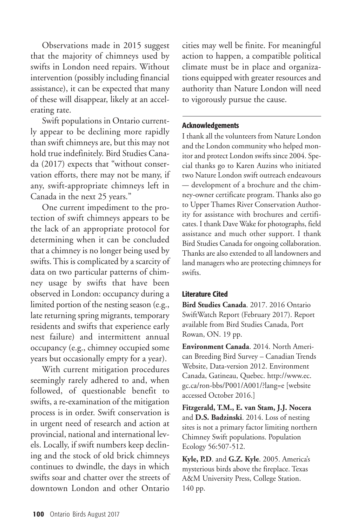Observations made in 2015 suggest that the majority of chimneys used by swifts in London need repairs. Without intervention (possibly including financial assistance), it can be expected that many of these will disappear, likely at an accelerating rate.

Swift populations in Ontario currently appear to be declining more rapidly than swift chimneys are, but this may not hold true indefinitely. Bird Studies Canada (2017) expects that "without conservation efforts, there may not be many, if any, swift-appropriate chimneys left in Canada in the next 25 years."

One current impediment to the protection of swift chimneys appears to be the lack of an appropriate protocol for determining when it can be concluded that a chimney is no longer being used by swifts.This is complicated by a scarcity of data on two particular patterns of chimney usage by swifts that have been observed in London: occupancy during a limited portion of the nesting season (e.g., late returning spring migrants, temporary residents and swifts that experience early nest failure) and intermittent annual occupancy (e.g., chimney occupied some years but occasionally empty for a year).

With current mitigation procedures seemingly rarely adhered to and, when followed, of questionable benefit to swifts, a re-examination of the mitigation process is in order. Swift conservation is in urgent need of research and action at provincial, national and international levels. Locally, if swift numbers keep declining and the stock of old brick chimneys continues to dwindle, the days in which swifts soar and chatter over the streets of downtown London and other Ontario cities may well be finite. For meaningful action to happen, a compatible political climate must be in place and organizations equipped with greater resources and authority than Nature London will need to vigorously pursue the cause.

### **Acknowledgements**

I thank all the volunteers from Nature London and the London community who helped monitor and protect London swifts since 2004. Special thanks go to Karen Auzins who initiated two Nature London swift outreach endeavours — development of a brochure and the chimney-owner certificate program. Thanks also go to Upper Thames River Conservation Authority for assistance with brochures and certificates. I thank Dave Wake for photographs, field assistance and much other support. I thank Bird Studies Canada for ongoing collaboration. Thanks are also extended to all landowners and land managers who are protecting chimneys for swifts.

### **Literature Cited**

**Bird Studies Canada**. 2017. 2016 Ontario SwiftWatch Report (February 2017). Report available from Bird Studies Canada, Port Rowan, ON. 19 pp.

**Environment Canada**. 2014. North American Breeding Bird Survey – Canadian Trends Website, Data-version 2012. Environment Canada, Gatineau, Quebec. http://www.ec. gc.ca/ron-bbs/P001/A001/?lang=e [website accessed October 2016.]

**Fitzgerald, T.M., E. van Stam, J.J. Nocera** and **D.S. Badzinski**. 2014. Loss of nesting sites is not a primary factor limiting northern Chimney Swift populations. Population Ecology 56:507-512.

**Kyle, P.D**. and **G.Z. Kyle**. 2005. America's mysterious birds above the fireplace. Texas A&M University Press, College Station. 140 pp.